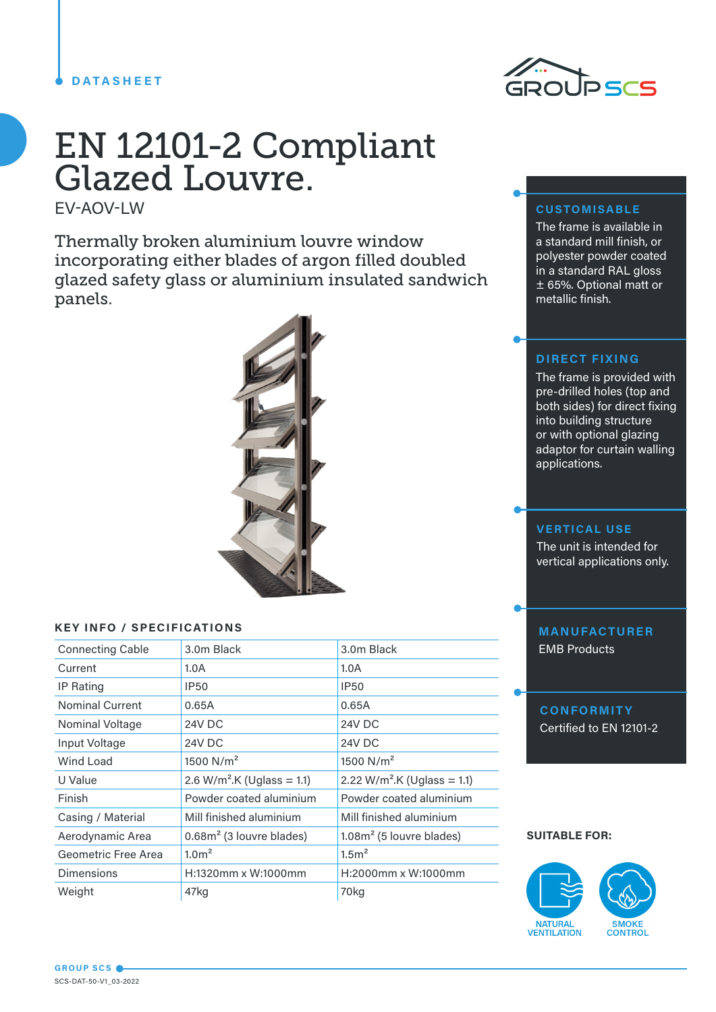## **DATASHEET**



# EN 12101-2 Compliant Glazed Louvre.

EV-AOV-LW

Thermally broken aluminium louvre window incorporating either blades of argon filled doubled glazed safety glass or aluminium insulated sandwich panels.



## **KEY INFO / SPECIFICATIONS**

| <b>Connecting Cable</b> | 3.0m Black                             | 3.0m Black                              |
|-------------------------|----------------------------------------|-----------------------------------------|
| Current                 | 1.0A                                   | 1.0A                                    |
| IP Rating               | <b>IP50</b>                            | <b>IP50</b>                             |
| <b>Nominal Current</b>  | 0.65A                                  | 0.65A                                   |
| Nominal Voltage         | 24V DC                                 | 24V DC                                  |
| Input Voltage           | 24V DC                                 | 24V DC                                  |
| Wind Load               | 1500 $N/m2$                            | 1500 $N/m2$                             |
| U Value                 | 2.6 W/m <sup>2</sup> .K (Uglass = 1.1) | 2.22 W/m <sup>2</sup> .K (Uglass = 1.1) |
| Finish                  | Powder coated aluminium                | Powder coated aluminium                 |
| Casing / Material       | Mill finished aluminium                | Mill finished aluminium                 |
| Aerodynamic Area        | $0.68m2$ (3 louvre blades)             | $1.08m2$ (5 louvre blades)              |
| Geometric Free Area     | 1.0 <sup>m²</sup>                      | 1.5 <sup>2</sup>                        |
| Dimensions              | H:1320mm x W:1000mm                    | H:2000mm x W:1000mm                     |
| Weight                  | 47kg                                   | 70kg                                    |

## **CUSTOMISABLE**

The frame is available in a standard mill finish, or polyester powder coated in a standard RAL gloss ± 65%. Optional matt or metallic finish.

## **DIRECT FIXING**

The frame is provided with pre-drilled holes (top and both sides) for direct fixing into building structure or with optional glazing adaptor for curtain walling applications.

#### **VERTICAL USE**

The unit is intended for vertical applications only.

## **MANUFACTURER**

EMB Products

## **CONFORMITY** Certified to EN 12101-2

## **SUITABLE FOR:**